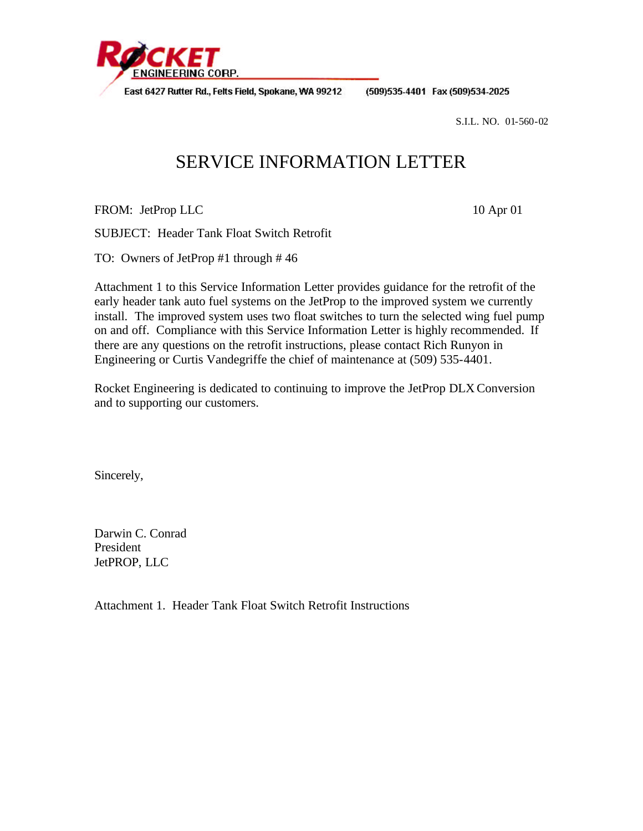

East 6427 Rutter Rd., Felts Field, Spokane, WA 99212

(509)535-4401 Fax (509)534-2025

S.I.L. NO. 01-560-02

# SERVICE INFORMATION LETTER

FROM: JetProp LLC 10 Apr 01

SUBJECT: Header Tank Float Switch Retrofit

TO: Owners of JetProp #1 through # 46

Attachment 1 to this Service Information Letter provides guidance for the retrofit of the early header tank auto fuel systems on the JetProp to the improved system we currently install. The improved system uses two float switches to turn the selected wing fuel pump on and off. Compliance with this Service Information Letter is highly recommended. If there are any questions on the retrofit instructions, please contact Rich Runyon in Engineering or Curtis Vandegriffe the chief of maintenance at (509) 535-4401.

Rocket Engineering is dedicated to continuing to improve the JetProp DLX Conversion and to supporting our customers.

Sincerely,

Darwin C. Conrad President JetPROP, LLC

Attachment 1. Header Tank Float Switch Retrofit Instructions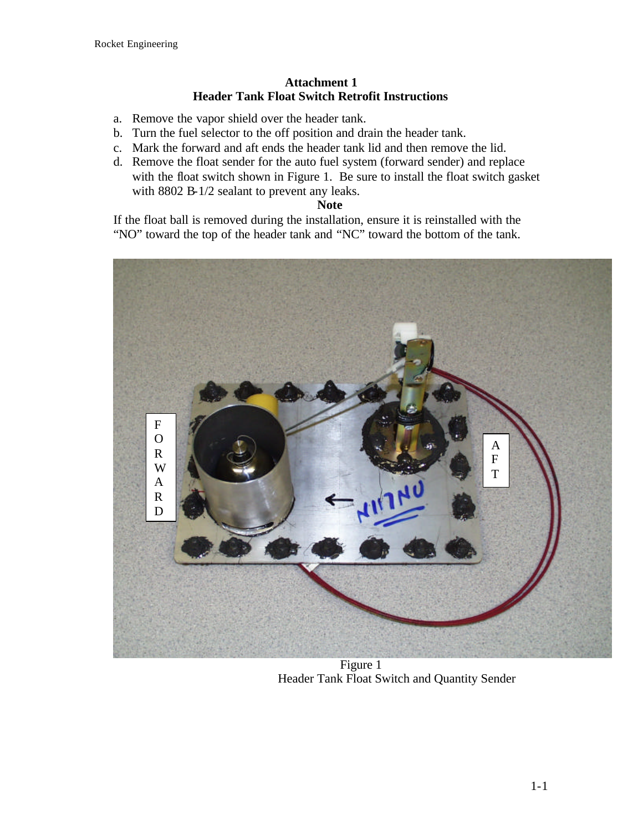## **Attachment 1 Header Tank Float Switch Retrofit Instructions**

- a. Remove the vapor shield over the header tank.
- b. Turn the fuel selector to the off position and drain the header tank.
- c. Mark the forward and aft ends the header tank lid and then remove the lid.
- d. Remove the float sender for the auto fuel system (forward sender) and replace with the float switch shown in Figure 1. Be sure to install the float switch gasket with 8802 B-1/2 sealant to prevent any leaks.

#### **Note**

If the float ball is removed during the installation, ensure it is reinstalled with the "NO" toward the top of the header tank and "NC" toward the bottom of the tank.



 Figure 1 Header Tank Float Switch and Quantity Sender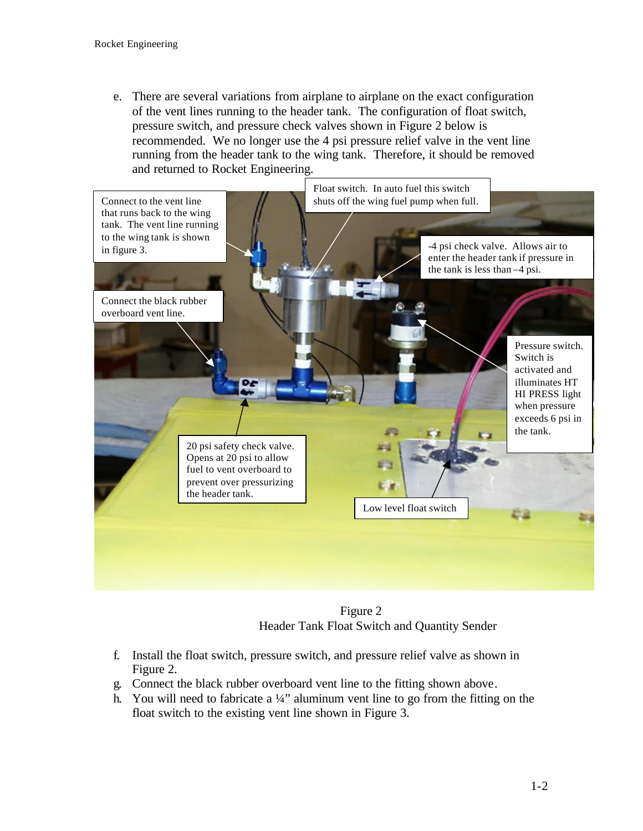e. There are several variations from airplane to airplane on the exact configuration of the vent lines running to the header tank. The configuration of float switch, pressure switch, and pressure check valves shown in Figure 2 below is recommended. We no longer use the 4 psi pressure relief valve in the vent line running from the header tank to the wing tank. Therefore, it should be removed and returned to Rocket Engineering.



 Figure 2 Header Tank Float Switch and Quantity Sender

- f. Install the float switch, pressure switch, and pressure relief valve as shown in Figure 2.
- g. Connect the black rubber overboard vent line to the fitting shown above.
- h. You will need to fabricate a  $\frac{1}{4}$ " aluminum vent line to go from the fitting on the float switch to the existing vent line shown in Figure 3.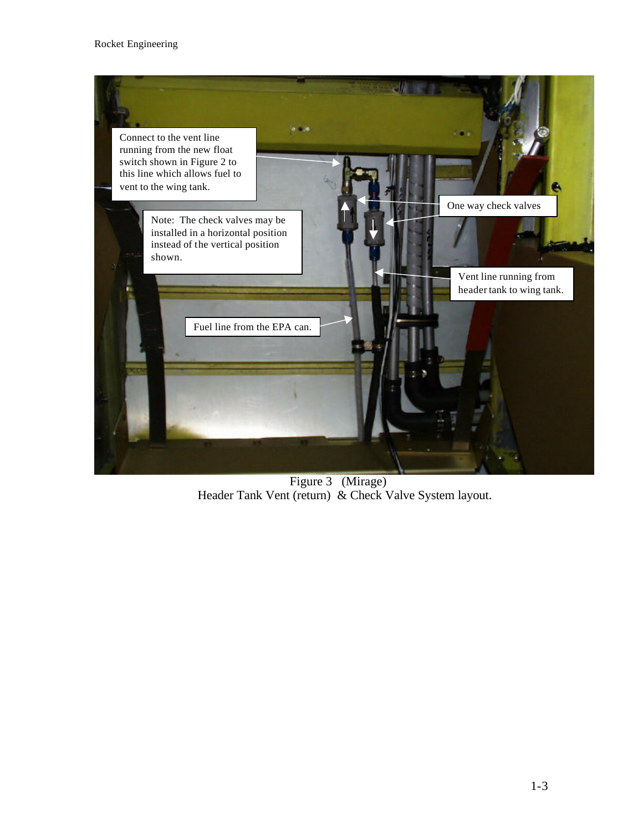

 Figure 3 (Mirage) Header Tank Vent (return) & Check Valve System layout.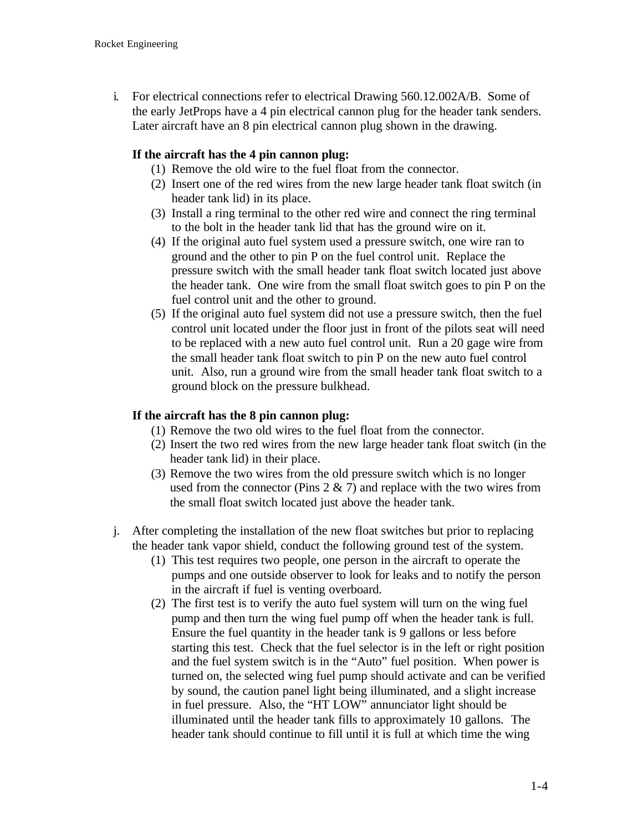i. For electrical connections refer to electrical Drawing 560.12.002A/B. Some of the early JetProps have a 4 pin electrical cannon plug for the header tank senders. Later aircraft have an 8 pin electrical cannon plug shown in the drawing.

# **If the aircraft has the 4 pin cannon plug:**

- (1) Remove the old wire to the fuel float from the connector.
- (2) Insert one of the red wires from the new large header tank float switch (in header tank lid) in its place.
- (3) Install a ring terminal to the other red wire and connect the ring terminal to the bolt in the header tank lid that has the ground wire on it.
- (4) If the original auto fuel system used a pressure switch, one wire ran to ground and the other to pin P on the fuel control unit. Replace the pressure switch with the small header tank float switch located just above the header tank. One wire from the small float switch goes to pin P on the fuel control unit and the other to ground.
- (5) If the original auto fuel system did not use a pressure switch, then the fuel control unit located under the floor just in front of the pilots seat will need to be replaced with a new auto fuel control unit. Run a 20 gage wire from the small header tank float switch to pin P on the new auto fuel control unit. Also, run a ground wire from the small header tank float switch to a ground block on the pressure bulkhead.

## **If the aircraft has the 8 pin cannon plug:**

- (1) Remove the two old wires to the fuel float from the connector.
- (2) Insert the two red wires from the new large header tank float switch (in the header tank lid) in their place.
- (3) Remove the two wires from the old pressure switch which is no longer used from the connector (Pins  $2 \& 7$ ) and replace with the two wires from the small float switch located just above the header tank.
- j. After completing the installation of the new float switches but prior to replacing the header tank vapor shield, conduct the following ground test of the system.
	- (1) This test requires two people, one person in the aircraft to operate the pumps and one outside observer to look for leaks and to notify the person in the aircraft if fuel is venting overboard.
	- (2) The first test is to verify the auto fuel system will turn on the wing fuel pump and then turn the wing fuel pump off when the header tank is full. Ensure the fuel quantity in the header tank is 9 gallons or less before starting this test. Check that the fuel selector is in the left or right position and the fuel system switch is in the "Auto" fuel position. When power is turned on, the selected wing fuel pump should activate and can be verified by sound, the caution panel light being illuminated, and a slight increase in fuel pressure. Also, the "HT LOW" annunciator light should be illuminated until the header tank fills to approximately 10 gallons. The header tank should continue to fill until it is full at which time the wing